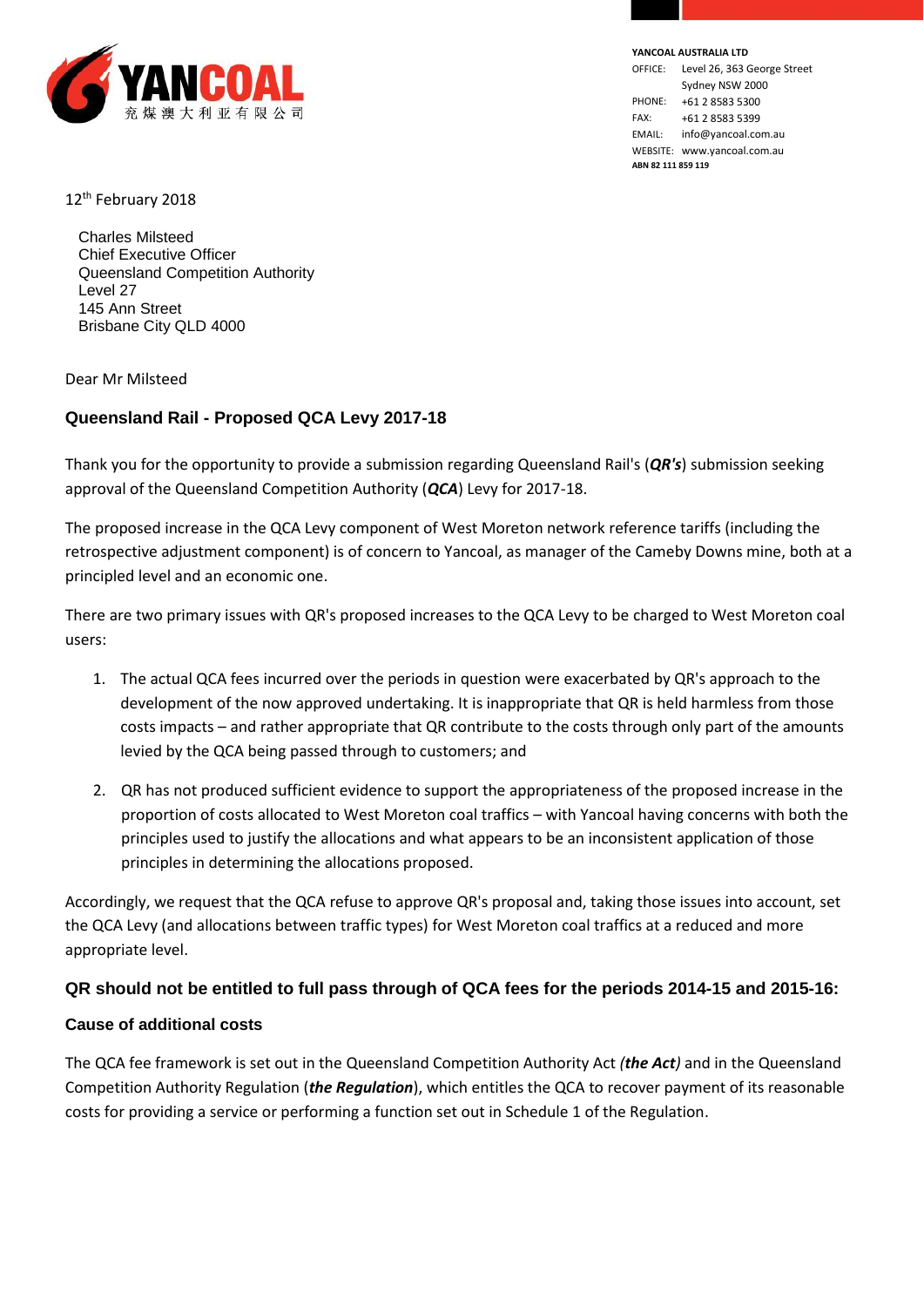

**YANCOAL AUSTRALIA LTD** OFFICE: Level 26, 363 George Street Sydney NSW 2000 PHONE: +61 2 8583 5300 FAX: +61 2 8583 5399 EMAIL: info@yancoal.com.au WEBSITE: www.yancoal.com.au **ABN 82 111 859 119**

12<sup>th</sup> February 2018

Charles Milsteed Chief Executive Officer Queensland Competition Authority Level 27 145 Ann Street Brisbane City QLD 4000

Dear Mr Milsteed

# **Queensland Rail - Proposed QCA Levy 2017-18**

Thank you for the opportunity to provide a submission regarding Queensland Rail's (*QR's*) submission seeking approval of the Queensland Competition Authority (*QCA*) Levy for 2017-18.

The proposed increase in the QCA Levy component of West Moreton network reference tariffs (including the retrospective adjustment component) is of concern to Yancoal, as manager of the Cameby Downs mine, both at a principled level and an economic one.

There are two primary issues with QR's proposed increases to the QCA Levy to be charged to West Moreton coal users:

- 1. The actual QCA fees incurred over the periods in question were exacerbated by QR's approach to the development of the now approved undertaking. It is inappropriate that QR is held harmless from those costs impacts – and rather appropriate that QR contribute to the costs through only part of the amounts levied by the QCA being passed through to customers; and
- 2. QR has not produced sufficient evidence to support the appropriateness of the proposed increase in the proportion of costs allocated to West Moreton coal traffics – with Yancoal having concerns with both the principles used to justify the allocations and what appears to be an inconsistent application of those principles in determining the allocations proposed.

Accordingly, we request that the QCA refuse to approve QR's proposal and, taking those issues into account, set the QCA Levy (and allocations between traffic types) for West Moreton coal traffics at a reduced and more appropriate level.

### **QR should not be entitled to full pass through of QCA fees for the periods 2014-15 and 2015-16:**

#### **Cause of additional costs**

The QCA fee framework is set out in the Queensland Competition Authority Act *(the Act)* and in the Queensland Competition Authority Regulation (*the Regulation*), which entitles the QCA to recover payment of its reasonable costs for providing a service or performing a function set out in Schedule 1 of the Regulation.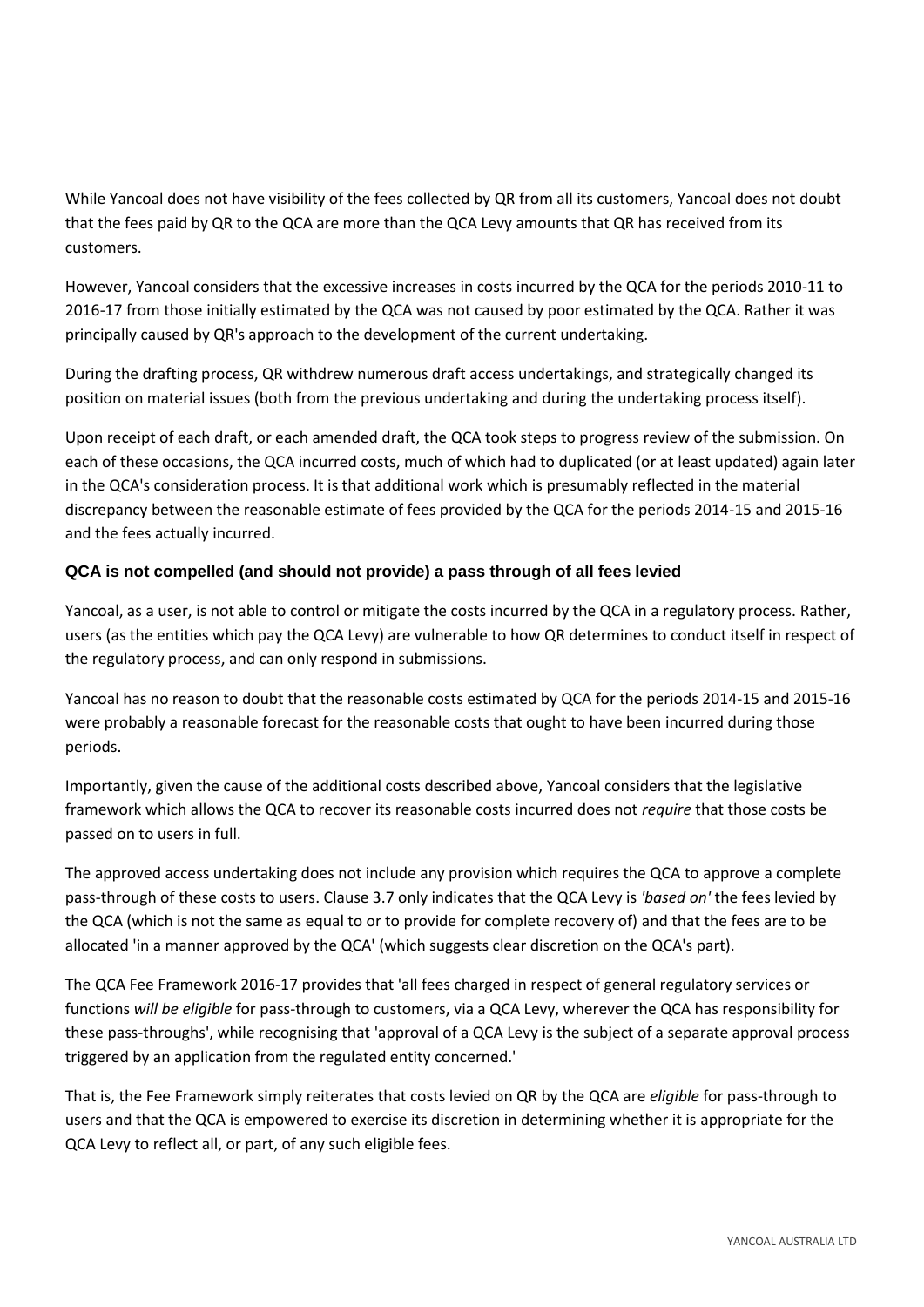While Yancoal does not have visibility of the fees collected by QR from all its customers, Yancoal does not doubt that the fees paid by QR to the QCA are more than the QCA Levy amounts that QR has received from its customers.

However, Yancoal considers that the excessive increases in costs incurred by the QCA for the periods 2010-11 to 2016-17 from those initially estimated by the QCA was not caused by poor estimated by the QCA. Rather it was principally caused by QR's approach to the development of the current undertaking.

During the drafting process, QR withdrew numerous draft access undertakings, and strategically changed its position on material issues (both from the previous undertaking and during the undertaking process itself).

Upon receipt of each draft, or each amended draft, the QCA took steps to progress review of the submission. On each of these occasions, the QCA incurred costs, much of which had to duplicated (or at least updated) again later in the QCA's consideration process. It is that additional work which is presumably reflected in the material discrepancy between the reasonable estimate of fees provided by the QCA for the periods 2014-15 and 2015-16 and the fees actually incurred.

# **QCA is not compelled (and should not provide) a pass through of all fees levied**

Yancoal, as a user, is not able to control or mitigate the costs incurred by the QCA in a regulatory process. Rather, users (as the entities which pay the QCA Levy) are vulnerable to how QR determines to conduct itself in respect of the regulatory process, and can only respond in submissions.

Yancoal has no reason to doubt that the reasonable costs estimated by QCA for the periods 2014-15 and 2015-16 were probably a reasonable forecast for the reasonable costs that ought to have been incurred during those periods.

Importantly, given the cause of the additional costs described above, Yancoal considers that the legislative framework which allows the QCA to recover its reasonable costs incurred does not *require* that those costs be passed on to users in full.

The approved access undertaking does not include any provision which requires the QCA to approve a complete pass-through of these costs to users. Clause 3.7 only indicates that the QCA Levy is *'based on'* the fees levied by the QCA (which is not the same as equal to or to provide for complete recovery of) and that the fees are to be allocated 'in a manner approved by the QCA' (which suggests clear discretion on the QCA's part).

The QCA Fee Framework 2016-17 provides that 'all fees charged in respect of general regulatory services or functions *will be eligible* for pass-through to customers, via a QCA Levy, wherever the QCA has responsibility for these pass-throughs', while recognising that 'approval of a QCA Levy is the subject of a separate approval process triggered by an application from the regulated entity concerned.'

That is, the Fee Framework simply reiterates that costs levied on QR by the QCA are *eligible* for pass-through to users and that the QCA is empowered to exercise its discretion in determining whether it is appropriate for the QCA Levy to reflect all, or part, of any such eligible fees.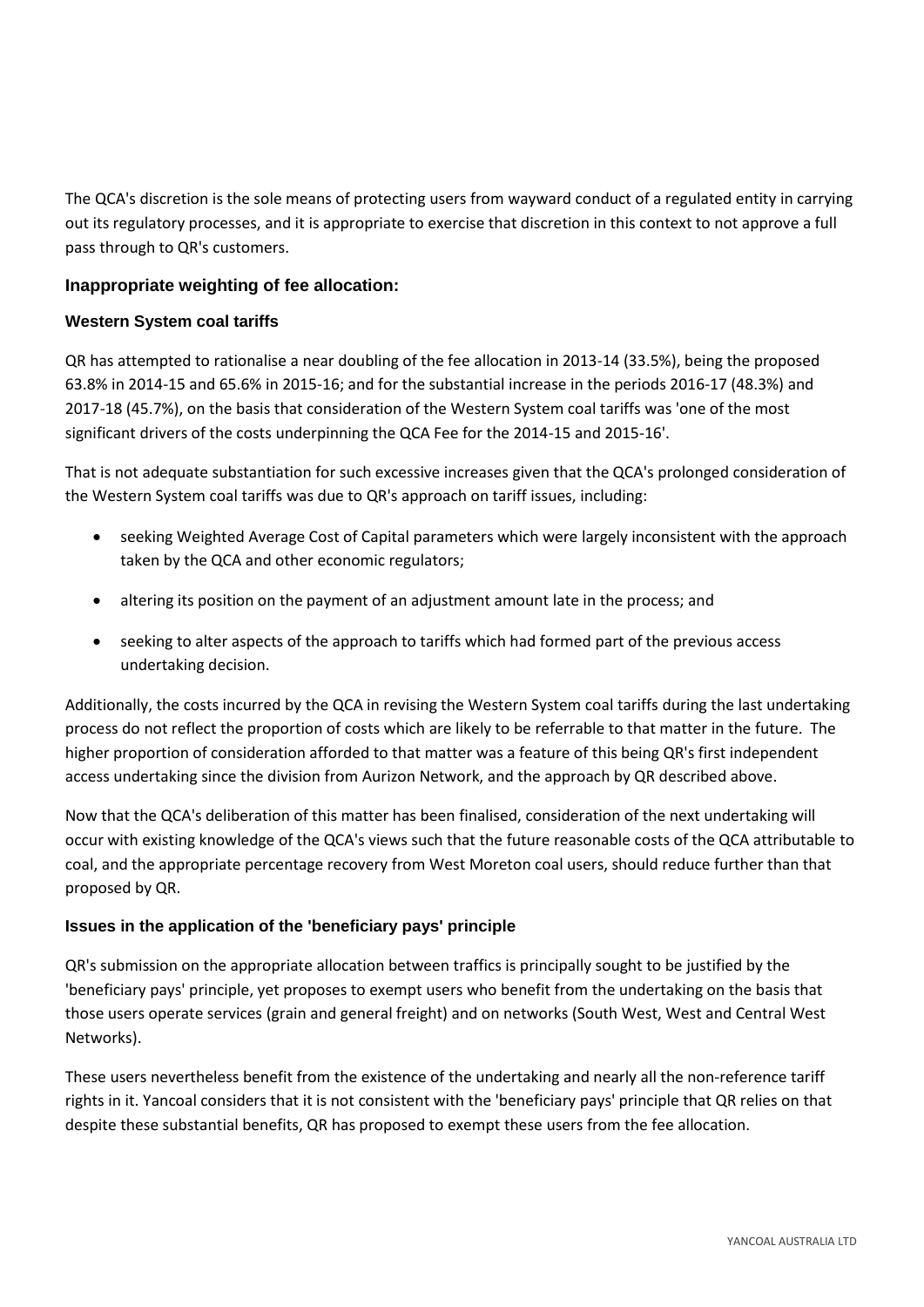The QCA's discretion is the sole means of protecting users from wayward conduct of a regulated entity in carrying out its regulatory processes, and it is appropriate to exercise that discretion in this context to not approve a full pass through to QR's customers.

# **Inappropriate weighting of fee allocation:**

#### **Western System coal tariffs**

QR has attempted to rationalise a near doubling of the fee allocation in 2013-14 (33.5%), being the proposed 63.8% in 2014-15 and 65.6% in 2015-16; and for the substantial increase in the periods 2016-17 (48.3%) and 2017-18 (45.7%), on the basis that consideration of the Western System coal tariffs was 'one of the most significant drivers of the costs underpinning the QCA Fee for the 2014-15 and 2015-16'.

That is not adequate substantiation for such excessive increases given that the QCA's prolonged consideration of the Western System coal tariffs was due to QR's approach on tariff issues, including:

- seeking Weighted Average Cost of Capital parameters which were largely inconsistent with the approach taken by the QCA and other economic regulators;
- altering its position on the payment of an adjustment amount late in the process; and
- seeking to alter aspects of the approach to tariffs which had formed part of the previous access undertaking decision.

Additionally, the costs incurred by the QCA in revising the Western System coal tariffs during the last undertaking process do not reflect the proportion of costs which are likely to be referrable to that matter in the future. The higher proportion of consideration afforded to that matter was a feature of this being QR's first independent access undertaking since the division from Aurizon Network, and the approach by QR described above.

Now that the QCA's deliberation of this matter has been finalised, consideration of the next undertaking will occur with existing knowledge of the QCA's views such that the future reasonable costs of the QCA attributable to coal, and the appropriate percentage recovery from West Moreton coal users, should reduce further than that proposed by QR.

### **Issues in the application of the 'beneficiary pays' principle**

QR's submission on the appropriate allocation between traffics is principally sought to be justified by the 'beneficiary pays' principle, yet proposes to exempt users who benefit from the undertaking on the basis that those users operate services (grain and general freight) and on networks (South West, West and Central West Networks).

These users nevertheless benefit from the existence of the undertaking and nearly all the non-reference tariff rights in it. Yancoal considers that it is not consistent with the 'beneficiary pays' principle that QR relies on that despite these substantial benefits, QR has proposed to exempt these users from the fee allocation.